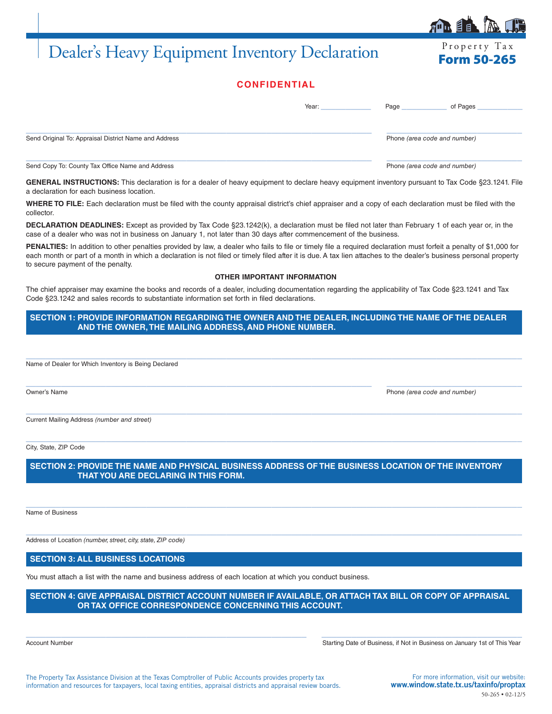# Dealer's Heavy Equipment Inventory Declaration Form 50-265

| пI |  | $\overline{AB}$ |  |
|----|--|-----------------|--|
|    |  |                 |  |

| <b>CONFIDENTIAL</b> |  |  |
|---------------------|--|--|
|                     |  |  |

|                                                       | Year: | Page<br>of Pages             |
|-------------------------------------------------------|-------|------------------------------|
| Send Original To: Appraisal District Name and Address |       | Phone (area code and number) |
| Send Copy To: County Tax Office Name and Address      |       | Phone (area code and number) |

GENERAL INSTRUCTIONS: This declaration is for a dealer of heavy equipment to declare heavy equipment inventory pursuant to Tax Code §23.1241. File a declaration for each business location.

**WHERE TO FILE:** Each declaration must be filed with the county appraisal district's chief appraiser and a copy of each declaration must be filed with the collector.

**DECLARATION DEADLINES:** Except as provided by Tax Code §23.1242(k), a declaration must be filed not later than February 1 of each year or, in the case of a dealer who was not in business on January 1, not later than 30 days after commencement of the business.

PENALTIES: In addition to other penalties provided by law, a dealer who fails to file or timely file a required declaration must forfeit a penalty of \$1,000 for each month or part of a month in which a declaration is not filed or timely filed after it is due. A tax lien attaches to the dealer's business personal property to secure payment of the penalty.

#### **OTHER IMPORTANT INFORMATION**

The chief appraiser may examine the books and records of a dealer, including documentation regarding the applicability of Tax Code §23.1241 and Tax Code §23.1242 and sales records to substantiate information set forth in filed declarations.

**SECTION 1: PROVIDE INFORMATION REGARDING THE OWNER AND THE DEALER, INCLUDING THE NAME OF THE DEALER AND THE OWNER, THE MAILING ADDRESS, AND PHONE NUMBER.**

 $\_$  , and the set of the set of the set of the set of the set of the set of the set of the set of the set of the set of the set of the set of the set of the set of the set of the set of the set of the set of the set of th

 $\_$  , and the set of the set of the set of the set of the set of the set of the set of the set of the set of the set of the set of the set of the set of the set of the set of the set of the set of the set of the set of th

 $\_$  , and the set of the set of the set of the set of the set of the set of the set of the set of the set of the set of the set of the set of the set of the set of the set of the set of the set of the set of the set of th Name of Dealer for Which Inventory is Being Declared

Owner's Name Phone *(area code and number)*

 $\_$  , and the set of the set of the set of the set of the set of the set of the set of the set of the set of the set of the set of the set of the set of the set of the set of the set of the set of the set of the set of th Current Mailing Address *(number and street)*

City, State, ZIP Code

**SECTION 2: PROVIDE THE NAME AND PHYSICAL BUSINESS ADDRESS OF THE BUSINESS LOCATION OF THE INVENTORY THAT YOU ARE DECLARING IN THIS FORM.**

 $\_$  , and the set of the set of the set of the set of the set of the set of the set of the set of the set of the set of the set of the set of the set of the set of the set of the set of the set of the set of the set of th

 $\_$  , and the set of the set of the set of the set of the set of the set of the set of the set of the set of the set of the set of the set of the set of the set of the set of the set of the set of the set of the set of th

Name of Business

Address of Location *(number, street, city, state, ZIP code)*

**SECTION 3: ALL BUSINESS LOCATIONS**

You must attach a list with the name and business address of each location at which you conduct business.

**SECTION 4: GIVE APPRAISAL DISTRICT ACCOUNT NUMBER IF AVAILABLE, OR ATTACH TAX BILL OR COPY OF APPRAISAL OR TAX OFFICE CORRESPONDENCE CONCERNING THIS ACCOUNT.**

 $\_$  ,  $\_$  ,  $\_$  ,  $\_$  ,  $\_$  ,  $\_$  ,  $\_$  ,  $\_$  ,  $\_$  ,  $\_$  ,  $\_$  ,  $\_$  ,  $\_$  ,  $\_$  ,  $\_$  ,  $\_$  ,  $\_$  ,  $\_$  ,  $\_$  ,  $\_$  ,  $\_$  ,  $\_$  ,  $\_$  ,  $\_$  ,  $\_$  ,  $\_$  ,  $\_$  ,  $\_$  ,  $\_$  ,  $\_$  ,  $\_$  ,  $\_$  ,  $\_$  ,  $\_$  ,  $\_$  ,  $\_$  ,  $\_$  ,

Account Number Number Starting Date of Business, if Not in Business on January 1st of This Year

The Property Tax Assistance Division at the Texas Comptroller of Public Accounts provides property tax information and resources for taxpayers, local taxing entities, appraisal districts and appraisal review boards.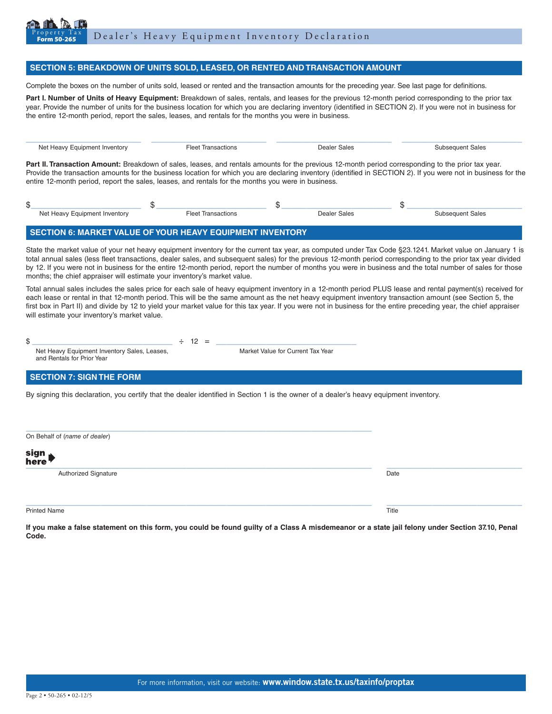

#### **SECTION 5: BREAKDOWN OF UNITS SOLD, LEASED, OR RENTED AND TRANSACTION AMOUNT**

Complete the boxes on the number of units sold, leased or rented and the transaction amounts for the preceding year. See last page for definitions.

Part I. Number of Units of Heavy Equipment: Breakdown of sales, rentals, and leases for the previous 12-month period corresponding to the prior tax year. Provide the number of units for the business location for which you are declaring inventory (identified in SECTION 2). If you were not in business for the entire 12-month period, report the sales, leases, and rentals for the months you were in business.

Net Heavy Equipment Inventory **Fleet Transactions Fleet Transactions** Dealer Sales Subsequent Sales Part II. Transaction Amount: Breakdown of sales, leases, and rentals amounts for the previous 12-month period corresponding to the prior tax year. Provide the transaction amounts for the business location for which you are declaring inventory (identified in SECTION 2). If you were not in business for the entire 12-month period, report the sales, leases, and rentals for the months you were in business.

 $\_$  ,  $\_$  ,  $\_$  ,  $\_$  ,  $\_$  ,  $\_$  ,  $\_$  ,  $\_$  ,  $\_$  ,  $\_$  ,  $\_$  ,  $\_$  ,  $\_$  ,  $\_$  ,  $\_$  ,  $\_$  ,  $\_$  ,  $\_$  ,  $\_$  ,  $\_$  ,  $\_$  ,  $\_$  ,  $\_$  ,  $\_$  ,  $\_$  ,  $\_$  ,  $\_$  ,  $\_$  ,  $\_$  ,  $\_$  ,  $\_$  ,  $\_$  ,  $\_$  ,  $\_$  ,  $\_$  ,  $\_$  ,  $\_$  ,

| Net Heavy Equipment Inventory | امما=<br>Transactions | Dealer Sales | subsequent Sales |
|-------------------------------|-----------------------|--------------|------------------|

### **SECTION 6: MARKET VALUE OF YOUR HEAVY EQUIPMENT INVENTORY**

State the market value of your net heavy equipment inventory for the current tax year, as computed under Tax Code §23.1241. Market value on January 1 is total annual sales (less fleet transactions, dealer sales, and subsequent sales) for the previous 12-month period corresponding to the prior tax year divided by 12. If you were not in business for the entire 12-month period, report the number of months you were in business and the total number of sales for those months; the chief appraiser will estimate your inventory's market value.

Total annual sales includes the sales price for each sale of heavy equipment inventory in a 12-month period PLUS lease and rental payment(s) received for each lease or rental in that 12-month period. This will be the same amount as the net heavy equipment inventory transaction amount (see Section 5, the first box in Part II) and divide by 12 to yield your market value for this tax year. If you were not in business for the entire preceding year, the chief appraiser will estimate your inventory's market value.

 $\text{\$}$   $\text{\_}$   $\text{+}$  12 =  $\text{\_}$ 

Net Heavy Equipment Inventory Sales, Leases, Market Value for Current Tax Year and Rentals for Prior Year

## **SECTION 7: SIGN THE FORM**

By signing this declaration, you certify that the dealer identified in Section 1 is the owner of a dealer's heavy equipment inventory.

| On Behalf of (name of dealer) |       |
|-------------------------------|-------|
| sign<br>here                  |       |
| <b>Authorized Signature</b>   | Date  |
| <b>Printed Name</b>           | Title |

**If you make a false statement on this form, you could be found guilty of a Class A misdemeanor or a state jail felony under Section 37.10, Penal Code.**